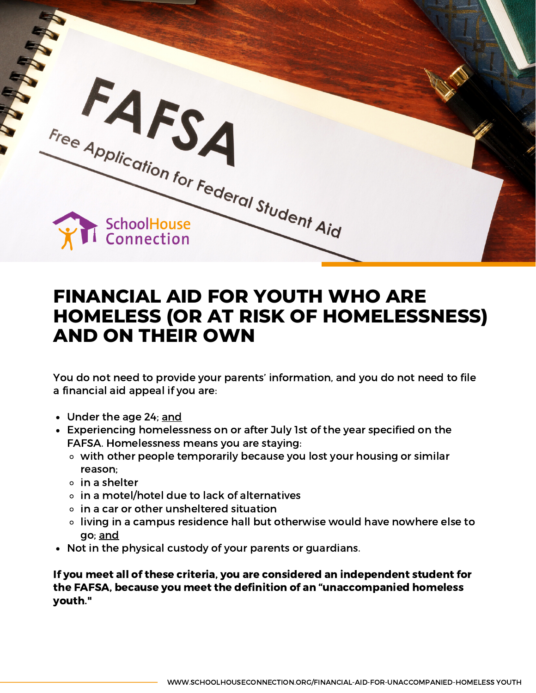

## **FINANCIAL AID FOR YOUTH WHO ARE HOMELESS (OR AT RISK OF HOMELESSNESS) AND ON THEIR OWN**

You do not need to provide your parents' information, and you do not need to file a financial aid appeal if you are:

- Under the age 24; and
- Experiencing homelessness on or after July 1st of the year specified on the FAFSA. Homelessness means you are staying:
	- with other people temporarily because you lost your housing or similar reason;
	- in a shelter
	- in a motel/hotel due to lack of alternatives
	- $\circ$  in a car or other unsheltered situation
	- living in a campus residence hall but otherwise would have nowhere else to go; and
- Not in the physical custody of your parents or guardians.

If you meet all of these criteria, you are considered an independent student for the FAFSA, because you meet the definition of an "unaccompanied homeless youth."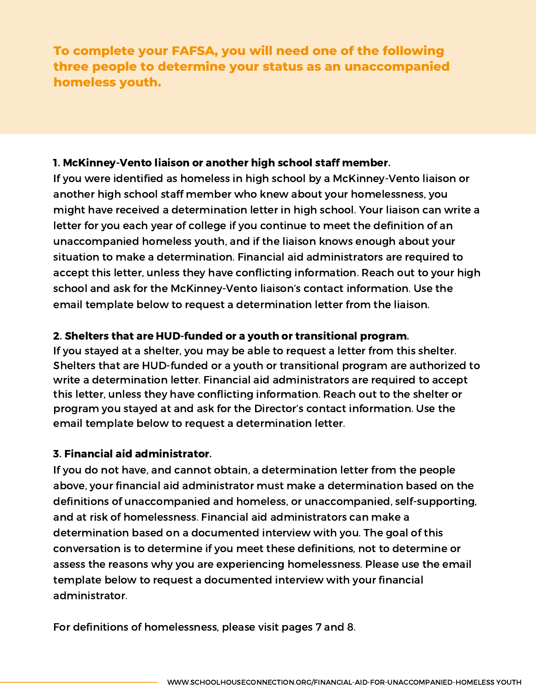**To complete your FAFSA, you will need one of the following three people to determine your status as an unaccompanied homeless youth.**

#### 1. McKinney-Vento liaison or another high school staff member.

If you were identified as homeless in high school by a McKinney-Vento liaison or another high school staff member who knew about your homelessness, you might have received a determination letter in high school. Your liaison can write a letter for you each year of college if you continue to meet the definition of an unaccompanied homeless youth, and if the liaison knows enough about your situation to make a determination. Financial aid administrators are required to accept this letter, unless they have conflicting information. Reach out to your high school and ask for the McKinney-Vento liaison's contact information. Use the email template below to request a determination letter from the liaison.

#### 2. Shelters that are HUD-funded or a youth or transitional program.

If you stayed at a shelter, you may be able to request a letter from this shelter. Shelters that are HUD-funded or a youth or transitional program are authorized to write a determination letter. Financial aid administrators are required to accept this letter, unless they have conflicting information. Reach out to the shelter or program you stayed at and ask for the Director's contact information. Use the email template below to request a determination letter.

#### 3. Financial aid administrator.

If you do not have, and cannot obtain, a determination letter from the people above, your financial aid administrator must make a determination based on the definitions of unaccompanied and homeless, or unaccompanied, self-supporting, and at risk of homelessness. Financial aid administrators can make a determination based on a documented interview with you. The goal of this conversation is to determine if you meet these definitions, not to determine or assess the reasons why you are experiencing homelessness. Please use the email template below to request a documented interview with your financial administrator.

For definitions of homelessness, please visit pages 7 and 8.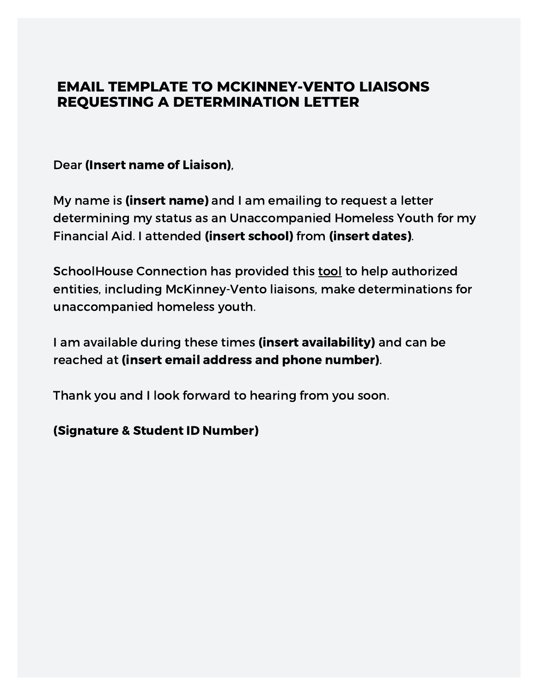## **EMAIL TEMPLATE TO MCKINNEY-VENTO LIAISONS REQUESTING A DETERMINATION LETTER**

Dear (Insert name of Liaison),

My name is (insert name) and I am emailing to request a letter determining my status as an Unaccompanied Homeless Youth for my Financial Aid. I attended (insert school) from (insert dates).

SchoolHouse Connection has provided this [tool](https://www.schoolhouseconnection.org/sample-form-letter-to-determine-the-independent-student-status-of-unaccompanied-homeless-youth/) to help authorized entities, including McKinney-Vento liaisons, make determinations for unaccompanied homeless youth.

I am available during these times (insert availability) and can be reached at (insert email address and phone number).

Thank you and I look forward to hearing from you soon.

(Signature & Student ID Number)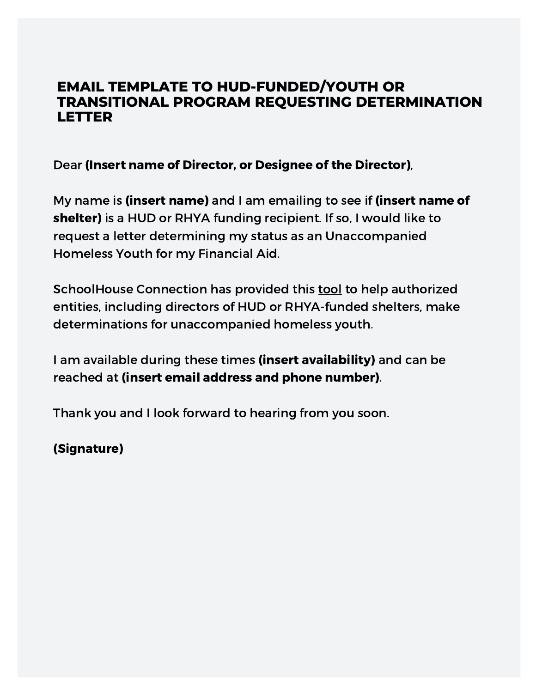## **EMAIL TEMPLATE TO HUD-FUNDED/YOUTH OR TRANSITIONAL PROGRAM REQUESTING DETERMINATION LETTER**

Dear (Insert name of Director, or Designee of the Director),

My name is (insert name) and I am emailing to see if (insert name of shelter) is a HUD or RHYA funding recipient. If so, I would like to request a letter determining my status as an Unaccompanied Homeless Youth for my Financial Aid.

SchoolHouse Connection has provided this [tool](https://www.schoolhouseconnection.org/sample-form-letter-to-determine-the-independent-student-status-of-unaccompanied-homeless-youth/) to help authorized entities, including directors of HUD or RHYA-funded shelters, make determinations for unaccompanied homeless youth.

I am available during these times (insert availability) and can be reached at (insert email address and phone number).

Thank you and I look forward to hearing from you soon.

(Signature)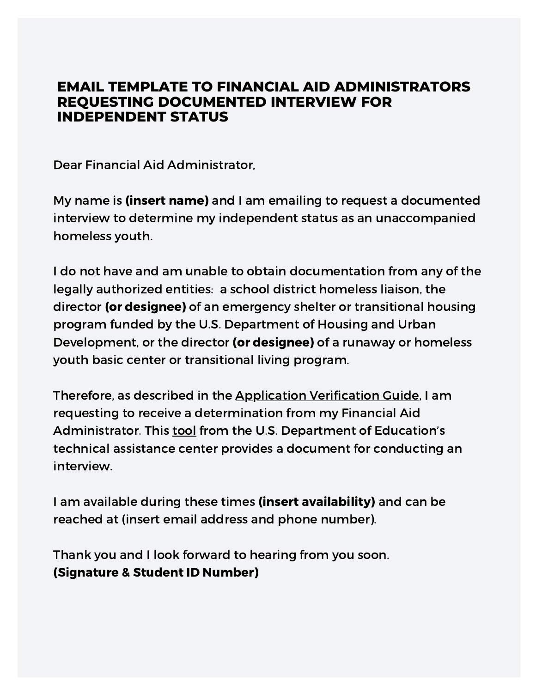## **EMAIL TEMPLATE TO FINANCIAL AID ADMINISTRATORS REQUESTING DOCUMENTED INTERVIEW FOR INDEPENDENT STATUS**

Dear Financial Aid Administrator,

My name is (insert name) and I am emailing to request a documented interview to determine my independent status as an unaccompanied homeless youth.

I do not have and am unable to obtain documentation from any of the legally authorized entities: a school district homeless liaison, the director (or designee) of an emergency shelter or transitional housing program funded by the U.S. Department of Housing and Urban Development, or the director (or designee) of a runaway or homeless youth basic center or transitional living program.

Therefore, as described in the [Application](https://ifap.ed.gov/sites/default/files/attachments/2019-07/1920FSAHbkAVG_0.pdf) Verification Guide, I am requesting to receive a determination from my Financial Aid Administrator. This [tool](https://nche.ed.gov/wp-content/uploads/2020/02/faa-uhy-tool-2020-2021-fafsa.pdf) from the U.S. Department of Education's technical assistance center provides a document for conducting an interview.

I am available during these times (insert availability) and can be reached at (insert email address and phone number).

Thank you and I look forward to hearing from you soon. (Signature & Student ID Number)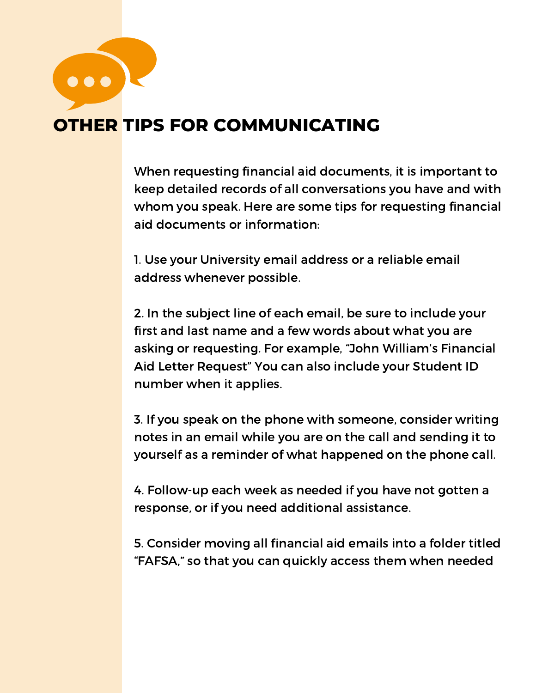...

# **OTHER TIPS FOR COMMUNICATING**

When requesting financial aid documents, it is important to keep detailed records of all conversations you have and with whom you speak. Here are some tips for requesting financial aid documents or information:

1. Use your University email address or a reliable email address whenever possible.

2. In the subject line of each email, be sure to include your first and last name and a few words about what you are asking or requesting. For example, "John William's Financial Aid Letter Request" You can also include your Student ID number when it applies.

3. If you speak on the phone with someone, consider writing notes in an email while you are on the call and sending it to yourself as a reminder of what happened on the phone call.

4. Follow-up each week as needed if you have not gotten a response, or if you need additional assistance.

5. Consider moving all financial aid emails into a folder titled "FAFSA," so that you can quickly access them when needed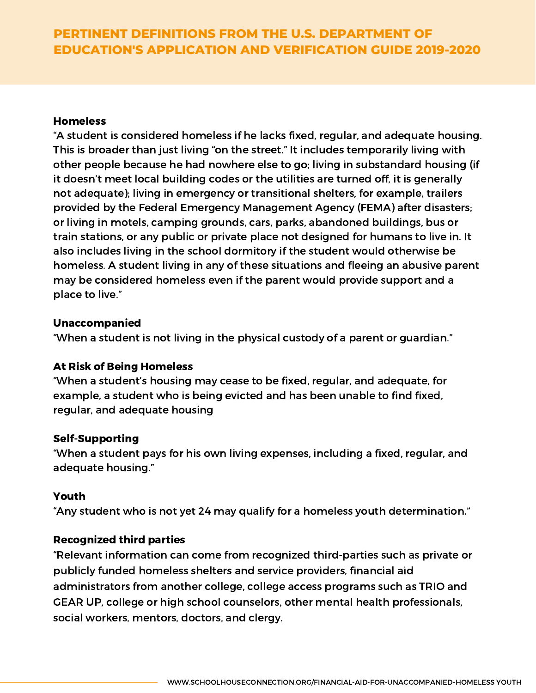### **PERTINENT DEFINITIONS FROM THE U.S. DEPARTMENT OF EDUCATION'S APPLICATION AND VERIFICATION GUIDE 2019-2020**

#### Homeless

"A student is considered homeless if he lacks fixed, regular, and adequate housing. This is broader than just living "on the street." It includes temporarily living with other people because he had nowhere else to go; living in substandard housing (if it doesn't meet local building codes or the utilities are turned off, it is generally not adequate); living in emergency or transitional shelters, for example, trailers provided by the Federal Emergency Management Agency (FEMA) after disasters; or living in motels, camping grounds, cars, parks, abandoned buildings, bus or train stations, or any public or private place not designed for humans to live in. It also includes living in the school dormitory if the student would otherwise be homeless. A student living in any of these situations and fleeing an abusive parent may be considered homeless even if the parent would provide support and a place to live."

#### Unaccompanied

"When a student is not living in the physical custody of a parent or guardian."

#### At Risk of Being Homeless

"When a student's housing may cease to be fixed, regular, and adequate, for example, a student who is being evicted and has been unable to find fixed, regular, and adequate housing

#### Self-Supporting

"When a student pays for his own living expenses, including a fixed, regular, and adequate housing."

#### Youth

"Any student who is not yet 24 may qualify for a homeless youth determination."

#### Recognized third parties

"Relevant information can come from recognized third-parties such as private or publicly funded homeless shelters and service providers, financial aid administrators from another college, college access programs such as TRIO and GEAR UP, college or high school counselors, other mental health professionals, social workers, mentors, doctors, and clergy.